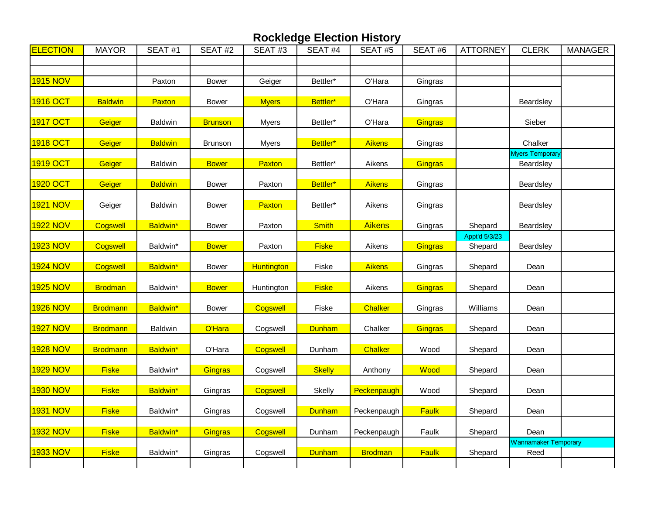| <b>ELECTION</b> | <b>MAYOR</b>    | SEAT#1         | SEAT#2         | SEAT#3       | SEAT #4       | SEAT#5         | SEAT#6  | <b>ATTORNEY</b> | <b>CLERK</b>         | <b>MANAGER</b> |
|-----------------|-----------------|----------------|----------------|--------------|---------------|----------------|---------|-----------------|----------------------|----------------|
|                 |                 |                |                |              |               |                |         |                 |                      |                |
|                 |                 |                |                |              |               |                |         |                 |                      |                |
| <b>1915 NOV</b> |                 | Paxton         | <b>Bower</b>   | Geiger       | Bettler*      | O'Hara         | Gingras |                 |                      |                |
| 1916 OCT        | <b>Baldwin</b>  | Paxton         | <b>Bower</b>   | <b>Myers</b> | Bettler*      | O'Hara         | Gingras |                 | Beardsley            |                |
| 1917 OCT        | Geiger          | Baldwin        | <b>Brunson</b> | <b>Myers</b> | Bettler*      | O'Hara         | Gingras |                 | Sieber               |                |
|                 |                 |                |                |              |               |                |         |                 |                      |                |
| 1918 OCT        | Geiger          | <b>Baldwin</b> | <b>Brunson</b> | Myers        | Bettler*      | <b>Aikens</b>  | Gingras |                 | Chalker              |                |
|                 |                 |                |                |              |               |                |         |                 | Myers Temporary      |                |
| 1919 OCT        | Geiger          | <b>Baldwin</b> | <b>Bower</b>   | Paxton       | Bettler*      | Aikens         | Gingras |                 | Beardsley            |                |
| 1920 OCT        | Geiger          | <b>Baldwin</b> | <b>Bower</b>   | Paxton       | Bettler*      | Aikens         | Gingras |                 | Beardsley            |                |
| <b>1921 NOV</b> | Geiger          | <b>Baldwin</b> | <b>Bower</b>   | Paxton       | Bettler*      | Aikens         | Gingras |                 | Beardsley            |                |
|                 |                 |                |                |              |               |                |         |                 |                      |                |
| <b>1922 NOV</b> | Cogswell        | Baldwin*       | <b>Bower</b>   | Paxton       | <b>Smith</b>  | <b>Aikens</b>  | Gingras | Shepard         | Beardsley            |                |
|                 |                 |                |                |              |               |                |         | Appt'd 5/3/23   |                      |                |
| 1923 NOV        | Cogswell        | Baldwin*       | <b>Bower</b>   | Paxton       | <b>Fiske</b>  | Aikens         | Gingras | Shepard         | Beardsley            |                |
| <b>1924 NOV</b> | Cogswell        | Baldwin*       | <b>Bower</b>   | Huntington   | Fiske         | <b>Aikens</b>  | Gingras | Shepard         | Dean                 |                |
| <b>1925 NOV</b> | <b>Brodman</b>  | Baldwin*       | <b>Bower</b>   | Huntington   | <b>Fiske</b>  | Aikens         | Gingras | Shepard         | Dean                 |                |
| <b>1926 NOV</b> | <b>Brodmann</b> | Baldwin*       | <b>Bower</b>   | Cogswell     | Fiske         | Chalker        | Gingras | Williams        | Dean                 |                |
|                 |                 |                |                |              |               |                |         |                 |                      |                |
| <b>1927 NOV</b> | <b>Brodmann</b> | <b>Baldwin</b> | O'Hara         | Cogswell     | <b>Dunham</b> | Chalker        | Gingras | Shepard         | Dean                 |                |
| <b>1928 NOV</b> | <b>Brodmann</b> | Baldwin*       | O'Hara         | Cogswell     | Dunham        | Chalker        | Wood    | Shepard         | Dean                 |                |
| <b>1929 NOV</b> | <b>Fiske</b>    | Baldwin*       | Gingras        | Cogswell     | <b>Skelly</b> | Anthony        | Wood    | Shepard         | Dean                 |                |
|                 |                 |                |                |              |               |                |         |                 |                      |                |
| <b>1930 NOV</b> | <b>Fiske</b>    | Baldwin*       | Gingras        | Cogswell     | Skelly        | Peckenpaugh    | Wood    | Shepard         | Dean                 |                |
| <b>1931 NOV</b> | <b>Fiske</b>    | Baldwin*       | Gingras        | Cogswell     | <b>Dunham</b> | Peckenpaugh    | Faulk   | Shepard         | Dean                 |                |
| <b>1932 NOV</b> | <b>Fiske</b>    | Baldwin*       | Gingras        | Cogswell     | Dunham        | Peckenpaugh    | Faulk   | Shepard         | Dean                 |                |
|                 |                 |                |                |              |               |                |         |                 | Wannamaker Temporary |                |
| <b>1933 NOV</b> | <b>Fiske</b>    | Baldwin*       | Gingras        | Cogswell     | <b>Dunham</b> | <b>Brodman</b> | Faulk   | Shepard         | Reed                 |                |
|                 |                 |                |                |              |               |                |         |                 |                      |                |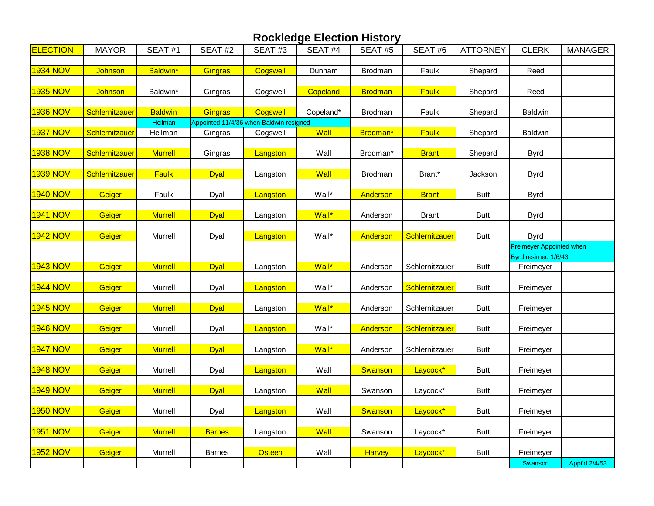| <b>ELECTION</b> | <b>MAYOR</b>   | SEAT#1         | SEAT#2        | SEAT#3                                  | SEAT #4   | SEAT#5         | SEAT#6         | <b>ATTORNEY</b> | <b>CLERK</b>                                     | <b>MANAGER</b> |
|-----------------|----------------|----------------|---------------|-----------------------------------------|-----------|----------------|----------------|-----------------|--------------------------------------------------|----------------|
|                 |                |                |               |                                         |           |                |                |                 |                                                  |                |
| <b>1934 NOV</b> | Johnson        | Baldwin*       | Gingras       | Cogswell                                | Dunham    | Brodman        | Faulk          | Shepard         | Reed                                             |                |
| <b>1935 NOV</b> | Johnson        | Baldwin*       | Gingras       | Cogswell                                | Copeland  | <b>Brodman</b> | Faulk          | Shepard         | Reed                                             |                |
| <b>1936 NOV</b> | Schlernitzauer | <b>Baldwin</b> | Gingras       | Cogswell                                | Copeland* | Brodman        | Faulk          | Shepard         | Baldwin                                          |                |
|                 |                | Heilman        |               | Appointed 11/4/36 when Baldwin resigned |           |                |                |                 |                                                  |                |
| 1937 NOV        | Schlernitzauer | Heilman        | Gingras       | Cogswell                                | Wall      | Brodman*       | Faulk          | Shepard         | Baldwin                                          |                |
| <b>1938 NOV</b> | Schlernitzauer | <b>Murrell</b> | Gingras       | Langston                                | Wall      | Brodman*       | <b>Brant</b>   | Shepard         | <b>Byrd</b>                                      |                |
| <b>1939 NOV</b> | Schlernitzauer | Faulk          | <b>Dyal</b>   | Langston                                | Wall      | Brodman        | Brant*         | Jackson         | <b>Byrd</b>                                      |                |
| <b>1940 NOV</b> | Geiger         | Faulk          | Dyal          | Langston                                | Wall*     | Anderson       | <b>Brant</b>   | <b>Butt</b>     | <b>Byrd</b>                                      |                |
| <b>1941 NOV</b> | Geiger         | <b>Murrell</b> | <b>Dyal</b>   | Langston                                | Wall*     | Anderson       | Brant          | <b>Butt</b>     | <b>Byrd</b>                                      |                |
| <b>1942 NOV</b> | Geiger         | Murrell        | Dyal          | Langston                                | Wall*     | Anderson       | Schlernitzauer | <b>Butt</b>     | <b>Byrd</b>                                      |                |
|                 |                |                |               |                                         |           |                |                |                 | Freimeyer Appointed when<br>Byrd resirned 1/6/43 |                |
| <b>1943 NOV</b> | Geiger         | <b>Murrell</b> | <b>Dyal</b>   | Langston                                | Wall*     | Anderson       | Schlernitzauer | <b>Butt</b>     | Freimeyer                                        |                |
| <b>1944 NOV</b> | Geiger         | Murrell        | Dyal          | Langston                                | Wall*     | Anderson       | Schlernitzauer | <b>Butt</b>     | Freimeyer                                        |                |
| <b>1945 NOV</b> | Geiger         | <b>Murrell</b> | <b>Dyal</b>   | Langston                                | Wall*     | Anderson       | Schlernitzauer | <b>Butt</b>     | Freimeyer                                        |                |
| <b>1946 NOV</b> | Geiger         | Murrell        | Dyal          | Langston                                | Wall*     | Anderson       | Schlernitzauer | <b>Butt</b>     | Freimeyer                                        |                |
| <b>1947 NOV</b> | Geiger         | <b>Murrell</b> | <b>Dyal</b>   | Langston                                | Wall*     | Anderson       | Schlernitzauer | Butt            | Freimeyer                                        |                |
| <b>1948 NOV</b> | Geiger         | Murrell        | Dyal          | Langston                                | Wall      | Swanson        | Laycock*       | <b>Butt</b>     | Freimeyer                                        |                |
| <b>1949 NOV</b> | Geiger         | <b>Murrell</b> | <b>Dyal</b>   | Langston                                | Wall      | Swanson        | Laycock*       | <b>Butt</b>     | Freimeyer                                        |                |
| <b>1950 NOV</b> | Geiger         | Murrell        | Dyal          | Langston                                | Wall      | Swanson        | Laycock*       | <b>Butt</b>     | Freimeyer                                        |                |
| <b>1951 NOV</b> | Geiger         | <b>Murrell</b> | <b>Barnes</b> | Langston                                | Wall      | Swanson        | Laycock*       | <b>Butt</b>     | Freimeyer                                        |                |
| <b>1952 NOV</b> | Geiger         | Murrell        | <b>Barnes</b> | Osteen                                  | Wall      | Harvey         | Laycock*       | <b>Butt</b>     | Freimeyer                                        |                |
|                 |                |                |               |                                         |           |                |                |                 | Swanson                                          | Appt'd 2/4/53  |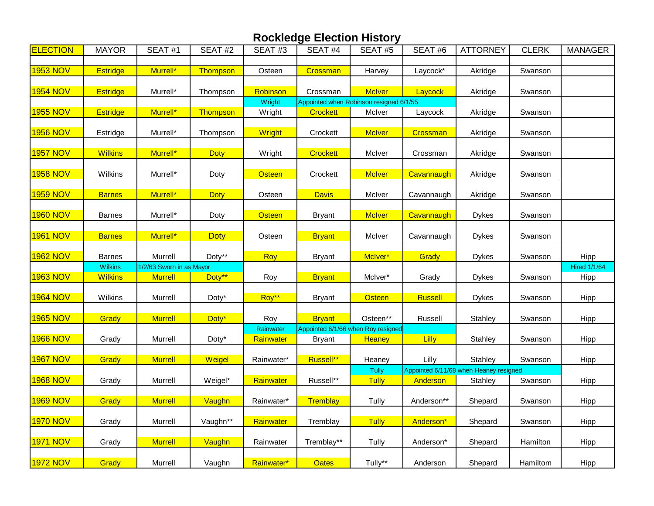| <b>ELECTION</b> | <b>MAYOR</b>                     | SEAT#1                                     | SEAT#2      | SEAT#3                 | SEAT#4          | SEAT#5                                              | SEAT#6         | <b>ATTORNEY</b>                                   | <b>CLERK</b> | <b>MANAGER</b>              |
|-----------------|----------------------------------|--------------------------------------------|-------------|------------------------|-----------------|-----------------------------------------------------|----------------|---------------------------------------------------|--------------|-----------------------------|
|                 |                                  |                                            |             |                        |                 |                                                     |                |                                                   |              |                             |
| <b>1953 NOV</b> | <b>Estridge</b>                  | Murrell*                                   | Thompson    | Osteen                 | Crossman        | Harvey                                              | Laycock*       | Akridge                                           | Swanson      |                             |
| <b>1954 NOV</b> | <b>Estridge</b>                  | Murrell*                                   | Thompson    | Robinson               | Crossman        | <b>McIver</b>                                       | Laycock        | Akridge                                           | Swanson      |                             |
|                 |                                  |                                            |             | Wright                 |                 | Appointed when Robinson resigned 6/1/55             |                |                                                   |              |                             |
| <b>1955 NOV</b> | <b>Estridge</b>                  | Murrell*                                   | Thompson    | Wright                 | <b>Crockett</b> | McIver                                              | Laycock        | Akridge                                           | Swanson      |                             |
| 1956 NOV        | Estridge                         | Murrell*                                   | Thompson    | Wright                 | Crockett        | <b>McIver</b>                                       | Crossman       | Akridge                                           | Swanson      |                             |
| <b>1957 NOV</b> | <b>Wilkins</b>                   | Murrell*                                   | <b>Doty</b> | Wright                 | <b>Crockett</b> | McIver                                              | Crossman       | Akridge                                           | Swanson      |                             |
| <b>1958 NOV</b> | Wilkins                          | Murrell*                                   | Doty        | <b>Osteen</b>          | Crockett        | <b>McIver</b>                                       | Cavannaugh     | Akridge                                           | Swanson      |                             |
| <b>1959 NOV</b> | <b>Barnes</b>                    | Murrell*                                   | <b>Doty</b> | Osteen                 | <b>Davis</b>    | McIver                                              | Cavannaugh     | Akridge                                           | Swanson      |                             |
| <b>1960 NOV</b> | <b>Barnes</b>                    | Murrell*                                   | Doty        | <b>Osteen</b>          | <b>Bryant</b>   | <b>McIver</b>                                       | Cavannaugh     | <b>Dykes</b>                                      | Swanson      |                             |
| 1961 NOV        | <b>Barnes</b>                    | Murrell*                                   | <b>Doty</b> | Osteen                 | <b>Bryant</b>   | McIver                                              | Cavannaugh     | <b>Dykes</b>                                      | Swanson      |                             |
| <b>1962 NOV</b> | <b>Barnes</b>                    | Murrell                                    | Doty**      | Roy                    | <b>Bryant</b>   | McIver*                                             | Grady          | <b>Dykes</b>                                      | Swanson      | Hipp                        |
| <b>1963 NOV</b> | <b>Wilkins</b><br><b>Wilkins</b> | 1/2/63 Sworn in as Mayor<br><b>Murrell</b> | Doty**      | Roy                    | <b>Bryant</b>   | McIver*                                             | Grady          | <b>Dykes</b>                                      | Swanson      | <b>Hired 1/1/64</b><br>Hipp |
| <b>1964 NOV</b> | Wilkins                          | Murrell                                    | Doty*       | Roy**                  | <b>Bryant</b>   | <b>Osteen</b>                                       | <b>Russell</b> | <b>Dykes</b>                                      | Swanson      | Hipp                        |
| <b>1965 NOV</b> | Grady                            | <b>Murrell</b>                             | Doty*       | Roy                    | <b>Bryant</b>   | Osteen**                                            | Russell        | Stahley                                           | Swanson      | Hipp                        |
| <b>1966 NOV</b> | Grady                            | Murrell                                    | Doty*       | Rainwater<br>Rainwater | <b>Bryant</b>   | Appointed 6/1/66 when Roy resigned<br><b>Heaney</b> | Lilly          | Stahley                                           | Swanson      | Hipp                        |
| <b>1967 NOV</b> | Grady                            | <b>Murrell</b>                             | Weigel      | Rainwater*             | Russell**       | Heaney                                              | Lilly          | Stahley                                           | Swanson      | Hipp                        |
| <b>1968 NOV</b> | Grady                            | Murrell                                    | Weigel*     | Rainwater              | Russell**       | Tully<br>Tully                                      | Anderson       | Appointed 6/11/68 when Heaney resigned<br>Stahley | Swanson      | Hipp                        |
| 1969 NOV        | Grady                            | <b>Murrell</b>                             | Vaughn      | Rainwater*             | Tremblay        | Tully                                               | Anderson**     | Shepard                                           | Swanson      | Hipp                        |
| <b>1970 NOV</b> | Grady                            | Murrell                                    | Vaughn**    | Rainwater              | Tremblay        | <b>Tully</b>                                        | Anderson*      | Shepard                                           | Swanson      | Hipp                        |
| <b>1971 NOV</b> | Grady                            | <b>Murrell</b>                             | Vaughn      | Rainwater              | Tremblay**      | Tully                                               | Anderson*      | Shepard                                           | Hamilton     | Hipp                        |
| 1972 NOV        | Grady                            | Murrell                                    | Vaughn      | Rainwater*             | <b>Oates</b>    | Tully**                                             | Anderson       | Shepard                                           | Hamiltom     | Hipp                        |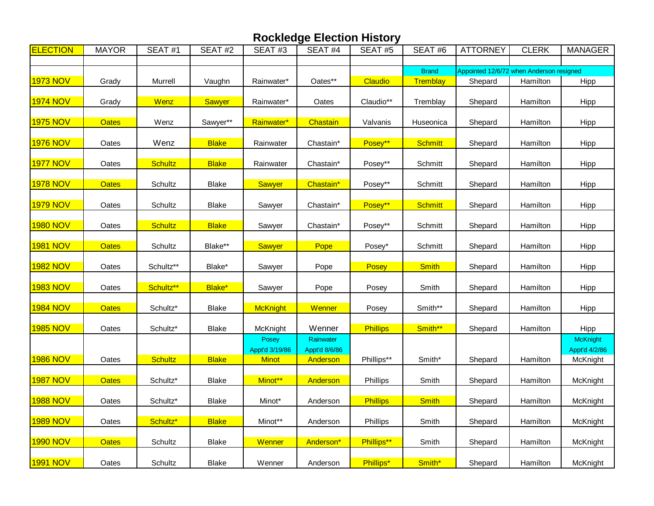| <b>ELECTION</b> | <b>MAYOR</b> | SEAT#1         | SEAT#2        | SEAT#3                                  | SEAT#4                                 | SEAT#5          | SEAT#6         | <b>ATTORNEY</b>                          | <b>CLERK</b> | <b>MANAGER</b>                        |
|-----------------|--------------|----------------|---------------|-----------------------------------------|----------------------------------------|-----------------|----------------|------------------------------------------|--------------|---------------------------------------|
|                 |              |                |               |                                         |                                        |                 |                |                                          |              |                                       |
|                 |              |                |               |                                         |                                        |                 | <b>Brand</b>   | Appointed 12/6/72 when Anderson resigned |              |                                       |
| 1973 NOV        | Grady        | Murrell        | Vaughn        | Rainwater*                              | Oates**                                | Claudio         | Tremblay       | Shepard                                  | Hamilton     | Hipp                                  |
| <b>1974 NOV</b> | Grady        | Wenz           | <b>Sawyer</b> | Rainwater*                              | Oates                                  | Claudio**       | Tremblay       | Shepard                                  | Hamilton     | Hipp                                  |
| <b>1975 NOV</b> | <b>Oates</b> | Wenz           | Sawyer**      | Rainwater*                              | Chastain                               | Valvanis        | Huseonica      | Shepard                                  | Hamilton     | Hipp                                  |
| <b>1976 NOV</b> | Oates        | Wenz           | <b>Blake</b>  | Rainwater                               | Chastain*                              | Posey**         | <b>Schmitt</b> | Shepard                                  | Hamilton     | Hipp                                  |
| <b>1977 NOV</b> | Oates        | <b>Schultz</b> | <b>Blake</b>  | Rainwater                               | Chastain*                              | Posey**         | Schmitt        | Shepard                                  | Hamilton     | <b>Hipp</b>                           |
| 1978 NOV        | <b>Oates</b> | Schultz        | <b>Blake</b>  | <b>Sawyer</b>                           | Chastain*                              | Posey**         | Schmitt        | Shepard                                  | Hamilton     | Hipp                                  |
| <b>1979 NOV</b> | Oates        | Schultz        | <b>Blake</b>  | Sawyer                                  | Chastain*                              | Posey**         | <b>Schmitt</b> | Shepard                                  | Hamilton     | Hipp                                  |
| <b>1980 NOV</b> | Oates        | <b>Schultz</b> | <b>Blake</b>  | Sawyer                                  | Chastain*                              | Posey**         | Schmitt        | Shepard                                  | Hamilton     | Hipp                                  |
| <b>1981 NOV</b> | <b>Oates</b> | Schultz        | Blake**       | <b>Sawyer</b>                           | Pope                                   | Posey*          | Schmitt        | Shepard                                  | Hamilton     | Hipp                                  |
| <b>1982 NOV</b> | Oates        | Schultz**      | Blake*        | Sawyer                                  | Pope                                   | Posey           | <b>Smith</b>   | Shepard                                  | Hamilton     | Hipp                                  |
| <b>1983 NOV</b> | Oates        | Schultz**      | Blake*        | Sawyer                                  | Pope                                   | Posey           | Smith          | Shepard                                  | Hamilton     | Hipp                                  |
| <b>1984 NOV</b> | <b>Oates</b> | Schultz*       | <b>Blake</b>  | McKnight                                | Wenner                                 | Posey           | Smith**        | Shepard                                  | Hamilton     | Hipp                                  |
| <b>1985 NOV</b> | Oates        | Schultz*       | <b>Blake</b>  | McKnight                                | Wenner                                 | <b>Phillips</b> | Smith**        | Shepard                                  | Hamilton     | Hipp                                  |
| <b>1986 NOV</b> | Oates        | <b>Schultz</b> | <b>Blake</b>  | Posey<br>Appt'd 3/19/86<br><b>Minot</b> | Rainwater<br>Appt'd 8/6/86<br>Anderson | Phillips**      | Smith*         | Shepard                                  | Hamilton     | McKnight<br>Appt'd 4/2/86<br>McKnight |
| <b>1987 NOV</b> | <b>Oates</b> | Schultz*       | <b>Blake</b>  | Minot**                                 | Anderson                               | Phillips        | Smith          | Shepard                                  | Hamilton     | <b>McKnight</b>                       |
| 1988 NOV        | Oates        | Schultz*       | Blake         | Minot*                                  | Anderson                               | <b>Phillips</b> | <b>Smith</b>   | Shepard                                  | Hamilton     | McKnight                              |
| <b>1989 NOV</b> | Oates        | Schultz*       | <b>Blake</b>  | Minot**                                 | Anderson                               | Phillips        | Smith          | Shepard                                  | Hamilton     | McKnight                              |
| <b>1990 NOV</b> | <b>Oates</b> | Schultz        | <b>Blake</b>  | Wenner                                  | Anderson*                              | Phillips**      | Smith          | Shepard                                  | Hamilton     | McKnight                              |
| 1991 NOV        | Oates        | Schultz        | <b>Blake</b>  | Wenner                                  | Anderson                               | Phillips*       | Smith*         | Shepard                                  | Hamilton     | McKnight                              |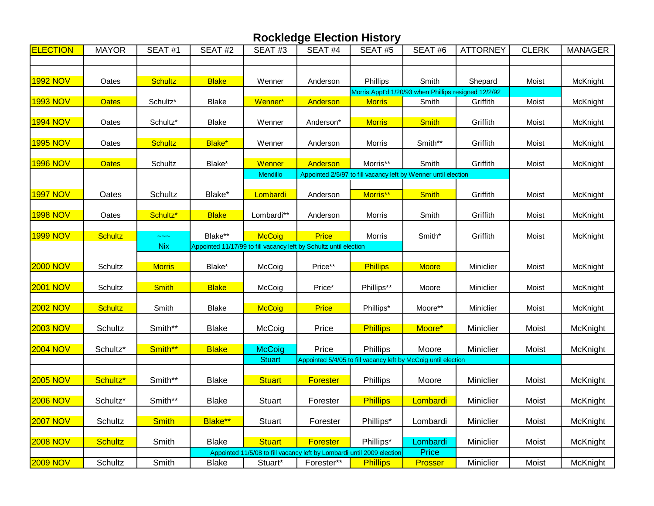| <b>ELECTION</b> | <b>MAYOR</b>   | SEAT#1         | SEAT#2       | SEAT#3                                                                 | SEAT#4          | SEAT#5                                                                     | SEAT#6       | <b>ATTORNEY</b> | <b>CLERK</b> | <b>MANAGER</b> |
|-----------------|----------------|----------------|--------------|------------------------------------------------------------------------|-----------------|----------------------------------------------------------------------------|--------------|-----------------|--------------|----------------|
|                 |                |                |              |                                                                        |                 |                                                                            |              |                 |              |                |
|                 |                |                |              |                                                                        |                 |                                                                            |              |                 |              |                |
| <b>1992 NOV</b> | Oates          | <b>Schultz</b> | <b>Blake</b> | Wenner                                                                 | Anderson        | Phillips                                                                   | Smith        | Shepard         | Moist        | McKnight       |
| <b>1993 NOV</b> | <b>Oates</b>   | Schultz*       | <b>Blake</b> | Wenner*                                                                | Anderson        | Morris Appt'd 1/20/93 when Phillips resigned 12/2/92<br><b>Morris</b>      | Smith        | Griffith        | Moist        | McKnight       |
|                 |                |                |              |                                                                        |                 |                                                                            |              |                 |              |                |
| <b>1994 NOV</b> | Oates          | Schultz*       | <b>Blake</b> | Wenner                                                                 | Anderson*       | <b>Morris</b>                                                              | <b>Smith</b> | Griffith        | Moist        | McKnight       |
|                 |                |                |              |                                                                        |                 |                                                                            |              |                 |              |                |
| <b>1995 NOV</b> | Oates          | <b>Schultz</b> | Blake*       | Wenner                                                                 | Anderson        | Morris                                                                     | Smith**      | Griffith        | Moist        | McKnight       |
|                 |                |                |              |                                                                        |                 |                                                                            |              |                 |              |                |
| <b>1996 NOV</b> | <b>Oates</b>   | Schultz        | Blake*       | Wenner<br><b>Mendillo</b>                                              | Anderson        | Morris**<br>Appointed 2/5/97 to fill vacancy left by Wenner until election | Smith        | Griffith        | Moist        | McKnight       |
|                 |                |                |              |                                                                        |                 |                                                                            |              |                 |              |                |
| 1997 NOV        | Oates          | Schultz        | Blake*       | Lombardi                                                               | Anderson        | Morris**                                                                   | <b>Smith</b> | Griffith        | Moist        | McKnight       |
|                 |                |                |              |                                                                        |                 |                                                                            |              |                 |              |                |
| <b>1998 NOV</b> | Oates          | Schultz*       | <b>Blake</b> | Lombardi**                                                             | Anderson        | Morris                                                                     | Smith        | Griffith        | Moist        | McKnight       |
|                 |                |                |              |                                                                        |                 |                                                                            |              |                 |              |                |
| 1999 NOV        | <b>Schultz</b> |                | Blake**      | <b>McCoig</b>                                                          | Price           | Morris                                                                     | Smith*       | Griffith        | Moist        | McKnight       |
|                 |                | <b>Nix</b>     |              | Appointed 11/17/99 to fill vacancy left by Schultz until election      |                 |                                                                            |              |                 |              |                |
| <b>2000 NOV</b> | Schultz        | <b>Morris</b>  | Blake*       | McCoig                                                                 | Price**         | <b>Phillips</b>                                                            | <b>Moore</b> | Miniclier       | Moist        | McKnight       |
|                 |                |                |              |                                                                        |                 |                                                                            |              |                 |              |                |
| <b>2001 NOV</b> | Schultz        | <b>Smith</b>   | <b>Blake</b> | McCoig                                                                 | Price*          | Phillips**                                                                 | Moore        | Miniclier       | Moist        | McKnight       |
|                 |                |                |              |                                                                        |                 |                                                                            |              |                 |              |                |
| <b>2002 NOV</b> | <b>Schultz</b> | Smith          | <b>Blake</b> | <b>McCoig</b>                                                          | Price           | Phillips*                                                                  | Moore**      | Miniclier       | Moist        | McKnight       |
|                 |                |                |              |                                                                        |                 |                                                                            |              |                 |              |                |
| <b>2003 NOV</b> | Schultz        | Smith**        | <b>Blake</b> | McCoig                                                                 | Price           | <b>Phillips</b>                                                            | Moore*       | Miniclier       | Moist        | McKnight       |
| <b>2004 NOV</b> | Schultz*       | Smith**        | <b>Blake</b> | <b>McCoig</b>                                                          | Price           | Phillips                                                                   | Moore        | Miniclier       | Moist        | McKnight       |
|                 |                |                |              | <b>Stuart</b>                                                          |                 | Appointed 5/4/05 to fill vacancy left by McCoig until election             |              |                 |              |                |
|                 |                |                |              |                                                                        |                 |                                                                            |              |                 |              |                |
| <b>2005 NOV</b> | Schultz*       | Smith**        | <b>Blake</b> | <b>Stuart</b>                                                          | <b>Forester</b> | Phillips                                                                   | Moore        | Miniclier       | Moist        | McKnight       |
|                 |                |                |              |                                                                        |                 |                                                                            |              |                 |              |                |
| <b>2006 NOV</b> | Schultz*       | Smith**        | <b>Blake</b> | <b>Stuart</b>                                                          | Forester        | <b>Phillips</b>                                                            | Lombardi     | Miniclier       | Moist        | McKnight       |
| <b>2007 NOV</b> | Schultz        | <b>Smith</b>   | Blake**      | <b>Stuart</b>                                                          | Forester        | Phillips*                                                                  | Lombardi     | Miniclier       | Moist        | McKnight       |
|                 |                |                |              |                                                                        |                 |                                                                            |              |                 |              |                |
| <b>2008 NOV</b> | <b>Schultz</b> | Smith          | <b>Blake</b> | <b>Stuart</b>                                                          | <b>Forester</b> | Phillips*                                                                  | Lombardi     | Miniclier       | Moist        | McKnight       |
|                 |                |                |              | Appointed 11/5/08 to fill vacancy left by Lombardi until 2009 election |                 |                                                                            | Price        |                 |              |                |
| <b>2009 NOV</b> | Schultz        | Smith          | <b>Blake</b> | Stuart*                                                                | Forester**      | <b>Phillips</b>                                                            | Prosser      | Miniclier       | Moist        | McKnight       |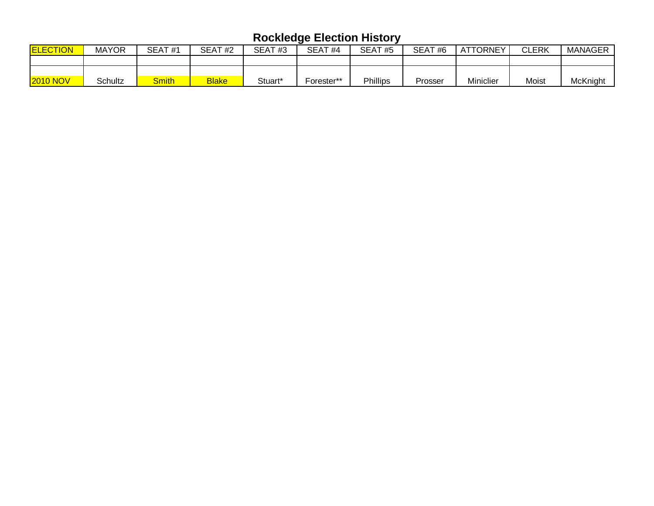| <b>ELECTION</b> | <b>MAYOR</b> | SEAT#1       | SEAT#2       | <b>SEAT</b><br>#3 | SEAT <sub>#4</sub> | SEAT#5          | SEAT#6  | ATTORNEY  | <b>CLERK</b> | <b>MANAGER</b> |
|-----------------|--------------|--------------|--------------|-------------------|--------------------|-----------------|---------|-----------|--------------|----------------|
|                 |              |              |              |                   |                    |                 |         |           |              |                |
|                 |              |              |              |                   |                    |                 |         |           |              |                |
| <b>2010 NOV</b> | Schultz      | <b>Smith</b> | <b>Blake</b> | Stuart*           | -orester**         | <b>Phillips</b> | Prosser | Miniclier | Moist        | McKnight       |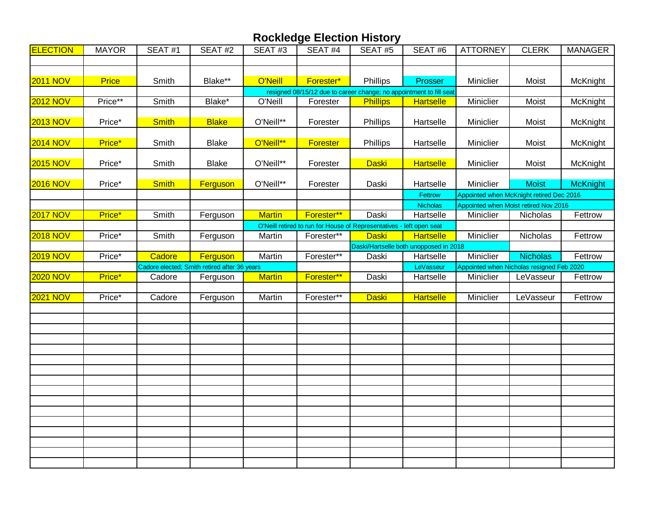| <b>ELECTION</b> | <b>MAYOR</b> | SEAT#1       | SEAT#2                                       | SEAT#3        | SEAT#4                                                               | SEAT#5          | SEAT#6                                 | <b>ATTORNEY</b>                          | <b>CLERK</b>    | <b>MANAGER</b>                            |  |
|-----------------|--------------|--------------|----------------------------------------------|---------------|----------------------------------------------------------------------|-----------------|----------------------------------------|------------------------------------------|-----------------|-------------------------------------------|--|
|                 |              |              |                                              |               |                                                                      |                 |                                        |                                          |                 |                                           |  |
|                 |              |              |                                              |               |                                                                      |                 |                                        |                                          |                 |                                           |  |
| <b>2011 NOV</b> | <b>Price</b> | Smith        | Blake**                                      | O'Neill       | Forester*                                                            | Phillips        | Prosser                                | Miniclier                                | Moist           | McKnight                                  |  |
|                 |              |              |                                              |               | resigned 08/15/12 due to career change; no appointment to fill seat  |                 |                                        |                                          |                 |                                           |  |
| <b>2012 NOV</b> | Price**      | Smith        | Blake*                                       | O'Neill       | Forester                                                             | <b>Phillips</b> | <b>Hartselle</b>                       | Miniclier                                | Moist           | McKnight                                  |  |
| <b>2013 NOV</b> | Price*       | <b>Smith</b> | <b>Blake</b>                                 | O'Neill**     | Forester                                                             | Phillips        | Hartselle                              | Miniclier                                | Moist           | McKnight                                  |  |
|                 |              |              |                                              |               |                                                                      |                 |                                        |                                          |                 |                                           |  |
| <b>2014 NOV</b> | Price*       | Smith        | <b>Blake</b>                                 | O'Neill**     | <b>Forester</b>                                                      | Phillips        | Hartselle                              | Miniclier                                | Moist           | McKnight                                  |  |
| <b>2015 NOV</b> | Price*       | Smith        | <b>Blake</b>                                 | O'Neill**     | Forester                                                             | <b>Daski</b>    | <b>Hartselle</b>                       | Miniclier                                | Moist           | McKnight                                  |  |
|                 |              |              |                                              |               |                                                                      |                 |                                        |                                          |                 |                                           |  |
| <b>2016 NOV</b> | Price*       | <b>Smith</b> | Ferguson                                     | O'Neill**     | Forester                                                             | Daski           | Hartselle                              | Miniclier                                | <b>Moist</b>    | <b>McKnight</b>                           |  |
|                 |              |              |                                              |               |                                                                      |                 | Fettrow                                | Appointed when McKnight retired Dec 2016 |                 |                                           |  |
|                 |              |              |                                              |               |                                                                      |                 | <b>Nicholas</b>                        | Appointed when Moist retired Nov 2016    |                 |                                           |  |
| <b>2017 NOV</b> | Price*       | Smith        | Ferguson                                     | <b>Martin</b> | Forester**                                                           | Daski           | Hartselle                              | Miniclier                                | Nicholas        | Fettrow                                   |  |
|                 |              |              |                                              |               | O'Neill retired to run for House of Representatives - left open seat |                 |                                        |                                          |                 |                                           |  |
| <b>2018 NOV</b> | Price*       | Smith        | Ferguson                                     | Martin        | Forester**                                                           | <b>Daski</b>    | <b>Hartselle</b>                       | Miniclier                                | Nicholas        | Fettrow                                   |  |
|                 |              |              |                                              |               |                                                                      |                 | Daski/Hartselle both unopposed in 2018 |                                          |                 |                                           |  |
| <b>2019 NOV</b> | Price*       | Cadore       | Ferguson                                     | Martin        | Forester**                                                           | Daski           | Hartselle                              | Miniclier                                | <b>Nicholas</b> | Fettrow                                   |  |
|                 |              |              | Cadore elected; Smith retired after 36 years |               |                                                                      |                 | LeVasseur                              |                                          |                 | Appointed when Nicholas resigned Feb 2020 |  |
| <b>2020 NOV</b> | Price*       | Cadore       | Ferguson                                     | <b>Martin</b> | Forester**                                                           | Daski           | Hartselle                              | Miniclier                                | LeVasseur       | Fettrow                                   |  |
|                 |              |              |                                              |               |                                                                      |                 |                                        |                                          |                 |                                           |  |
| <b>2021 NOV</b> | Price*       | Cadore       | Ferguson                                     | Martin        | Forester**                                                           | <b>Daski</b>    | <b>Hartselle</b>                       | Miniclier                                | LeVasseur       | Fettrow                                   |  |
|                 |              |              |                                              |               |                                                                      |                 |                                        |                                          |                 |                                           |  |
|                 |              |              |                                              |               |                                                                      |                 |                                        |                                          |                 |                                           |  |
|                 |              |              |                                              |               |                                                                      |                 |                                        |                                          |                 |                                           |  |
|                 |              |              |                                              |               |                                                                      |                 |                                        |                                          |                 |                                           |  |
|                 |              |              |                                              |               |                                                                      |                 |                                        |                                          |                 |                                           |  |
|                 |              |              |                                              |               |                                                                      |                 |                                        |                                          |                 |                                           |  |
|                 |              |              |                                              |               |                                                                      |                 |                                        |                                          |                 |                                           |  |
|                 |              |              |                                              |               |                                                                      |                 |                                        |                                          |                 |                                           |  |
|                 |              |              |                                              |               |                                                                      |                 |                                        |                                          |                 |                                           |  |
|                 |              |              |                                              |               |                                                                      |                 |                                        |                                          |                 |                                           |  |
|                 |              |              |                                              |               |                                                                      |                 |                                        |                                          |                 |                                           |  |
|                 |              |              |                                              |               |                                                                      |                 |                                        |                                          |                 |                                           |  |
|                 |              |              |                                              |               |                                                                      |                 |                                        |                                          |                 |                                           |  |
|                 |              |              |                                              |               |                                                                      |                 |                                        |                                          |                 |                                           |  |
|                 |              |              |                                              |               |                                                                      |                 |                                        |                                          |                 |                                           |  |
|                 |              |              |                                              |               |                                                                      |                 |                                        |                                          |                 |                                           |  |